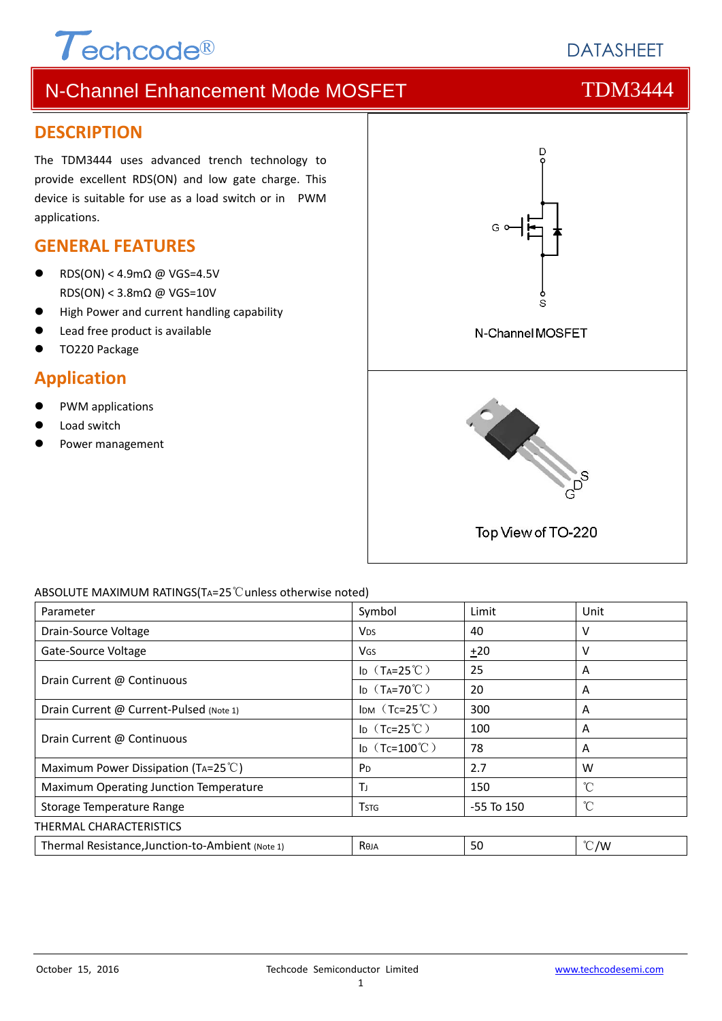# $\tau$ echcode®

# N-Channel Enhancement Mode MOSFET THE TDM3444

# **DESCRIPTION**

The TDM3444 uses advanced trench technology to provide excellent RDS(ON) and low gate charge. This device is suitable for use as a load switch or in PWM applications.

# **GENERAL FEATURES**

- RDS(ON) < 4.9mΩ @ VGS=4.5V RDS(ON) < 3.8mΩ @ VGS=10V
- High Power and current handling capability
- Lead free product is available
- TO220 Package

# **Application**

- PWM applications
- Load switch
- Power management



#### ABSOLUTE MAXIMUM RATINGS(TA=25℃unless otherwise noted)

| Parameter                                        | Symbol                 | Limit          | Unit          |  |  |  |
|--------------------------------------------------|------------------------|----------------|---------------|--|--|--|
| Drain-Source Voltage                             | <b>V<sub>DS</sub></b>  | 40             | v             |  |  |  |
| Gate-Source Voltage                              | VGS                    | ±20            | v             |  |  |  |
|                                                  | ID $(T_A=25^{\circ}C)$ | 25             | A             |  |  |  |
| Drain Current @ Continuous                       | ID $(T_A=70^{\circ}C)$ | 20             | A             |  |  |  |
| Drain Current @ Current-Pulsed (Note 1)          | IDM $(Tc=25^{\circ}C)$ | 300            | A             |  |  |  |
| Drain Current @ Continuous                       | ID $(Tc=25^{\circ}C)$  | 100            | A             |  |  |  |
|                                                  | ID $(Tc=100^{\circ}C)$ | 78             | A             |  |  |  |
| Maximum Power Dissipation (TA=25 $^{\circ}$ C)   | P <sub>D</sub>         | 2.7            | W             |  |  |  |
| Maximum Operating Junction Temperature           | ΤJ                     | 150            | °C            |  |  |  |
| Storage Temperature Range                        | <b>T</b> stg           | $-55$ To $150$ | °C            |  |  |  |
| THERMAL CHARACTERISTICS                          |                        |                |               |  |  |  |
| Thermal Resistance, Junction-to-Ambient (Note 1) | <b>Reja</b>            | 50             | $\degree$ C/W |  |  |  |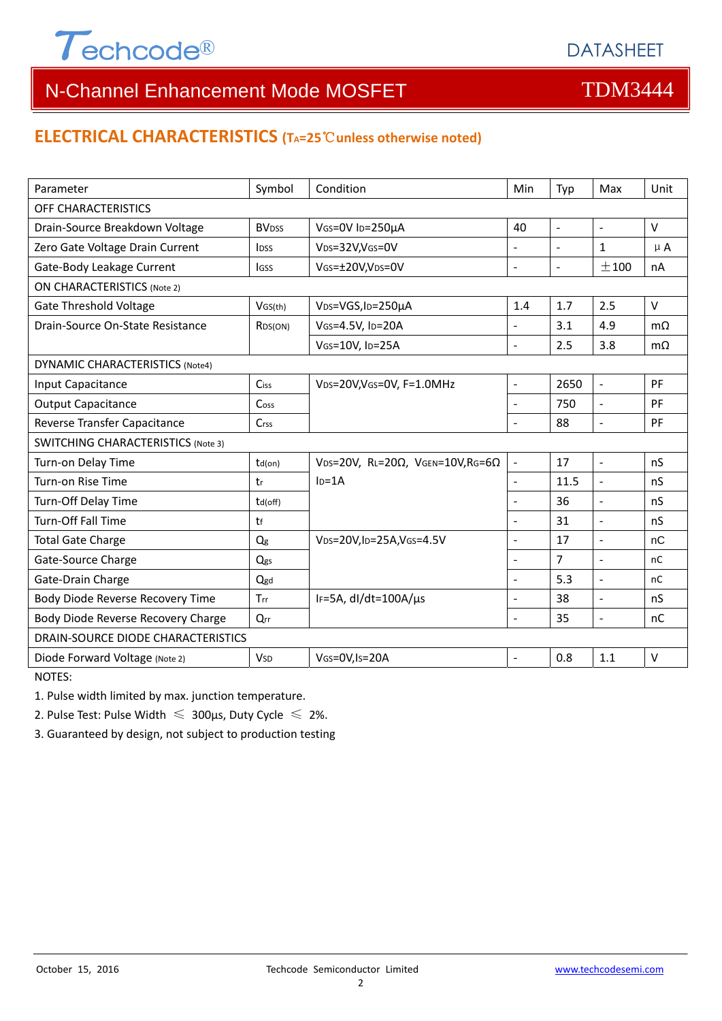

### **ELECTRICAL CHARACTERISTICS (TA=25**℃**unless otherwise noted)**

| Parameter                                 | Symbol                  | Condition                                         | Min                      | Typ                          | Max                      | Unit      |  |  |  |
|-------------------------------------------|-------------------------|---------------------------------------------------|--------------------------|------------------------------|--------------------------|-----------|--|--|--|
| OFF CHARACTERISTICS                       |                         |                                                   |                          |                              |                          |           |  |  |  |
| Drain-Source Breakdown Voltage            | <b>BV<sub>DSS</sub></b> | VGS=0V ID=250µA<br>40                             |                          | $\qquad \qquad \blacksquare$ | $\overline{\phantom{a}}$ | $\vee$    |  |  |  |
| Zero Gate Voltage Drain Current           | <b>l</b> <sub>pss</sub> | VDS=32V,VGS=0V                                    |                          |                              | $\mathbf{1}$             | $\mu$ A   |  |  |  |
| Gate-Body Leakage Current                 | <b>I</b> GSS            | VGS=±20V,VDS=0V                                   | $\overline{a}$           | $\sim$                       | ±100                     | nA        |  |  |  |
| <b>ON CHARACTERISTICS (Note 2)</b>        |                         |                                                   |                          |                              |                          |           |  |  |  |
| <b>Gate Threshold Voltage</b>             | VGS(th)                 | VDS=VGS, ID=250µA                                 | 1.4                      | 1.7                          | 2.5                      | $\vee$    |  |  |  |
| Drain-Source On-State Resistance          | R <sub>DS</sub> (ON)    | VGS=4.5V, ID=20A                                  | $\overline{a}$           | 3.1                          | 4.9                      | $m\Omega$ |  |  |  |
|                                           |                         | VGS=10V, ID=25A                                   | $\overline{a}$           | 2.5                          | 3.8                      | $m\Omega$ |  |  |  |
| <b>DYNAMIC CHARACTERISTICS (Note4)</b>    |                         |                                                   |                          |                              |                          |           |  |  |  |
| Input Capacitance                         | Ciss                    | VDS=20V, VGS=0V, F=1.0MHz                         | $\overline{\phantom{a}}$ | 2650                         | $\blacksquare$           | PF        |  |  |  |
| <b>Output Capacitance</b>                 | Coss                    |                                                   | $\overline{\phantom{a}}$ | 750                          | $\Box$                   | PF        |  |  |  |
| Reverse Transfer Capacitance              | Crss                    |                                                   | $\overline{a}$           | 88                           | $\frac{1}{2}$            | PF        |  |  |  |
| <b>SWITCHING CHARACTERISTICS (Note 3)</b> |                         |                                                   |                          |                              |                          |           |  |  |  |
| Turn-on Delay Time                        | $td($ on $)$            | VDS=20V, RL=20 $\Omega$ , VGEN=10V, RG=6 $\Omega$ | $\blacksquare$           | 17                           | $\blacksquare$           | nS        |  |  |  |
| Turn-on Rise Time                         | tr                      | $ID=1A$                                           | $\overline{a}$           | 11.5                         | $\frac{1}{2}$            | nS        |  |  |  |
| Turn-Off Delay Time                       | td(off)                 |                                                   |                          | 36                           | $\overline{\phantom{a}}$ | nS        |  |  |  |
| Turn-Off Fall Time                        | tf                      |                                                   | $\overline{a}$           | 31                           | $\overline{a}$           | nS        |  |  |  |
| <b>Total Gate Charge</b>                  | Qg                      | VDS=20V,ID=25A,VGS=4.5V                           | $\blacksquare$           | 17                           | $\overline{a}$           | nC        |  |  |  |
| Gate-Source Charge                        | Qgs                     |                                                   | $\overline{a}$           | $\overline{7}$               | $\overline{a}$           | nC        |  |  |  |
| Gate-Drain Charge                         | Qgd                     |                                                   |                          | 5.3                          | $\overline{a}$           | nC        |  |  |  |
| Body Diode Reverse Recovery Time          | Trr                     | IF=5A, dl/dt=100A/µs                              |                          | 38                           | $\overline{a}$           | nS        |  |  |  |
| Body Diode Reverse Recovery Charge        | Qrr                     |                                                   | L                        | 35                           | $\overline{a}$           | nC        |  |  |  |
| DRAIN-SOURCE DIODE CHARACTERISTICS        |                         |                                                   |                          |                              |                          |           |  |  |  |
| Diode Forward Voltage (Note 2)            | <b>V</b> sp             | VGS=0V,Is=20A                                     | $\overline{a}$           | 0.8                          | 1.1                      | $\vee$    |  |  |  |

NOTES:

1. Pulse width limited by max. junction temperature.

2. Pulse Test: Pulse Width  $\leq 300$ μs, Duty Cycle  $\leq 2\%$ .

3. Guaranteed by design, not subject to production testing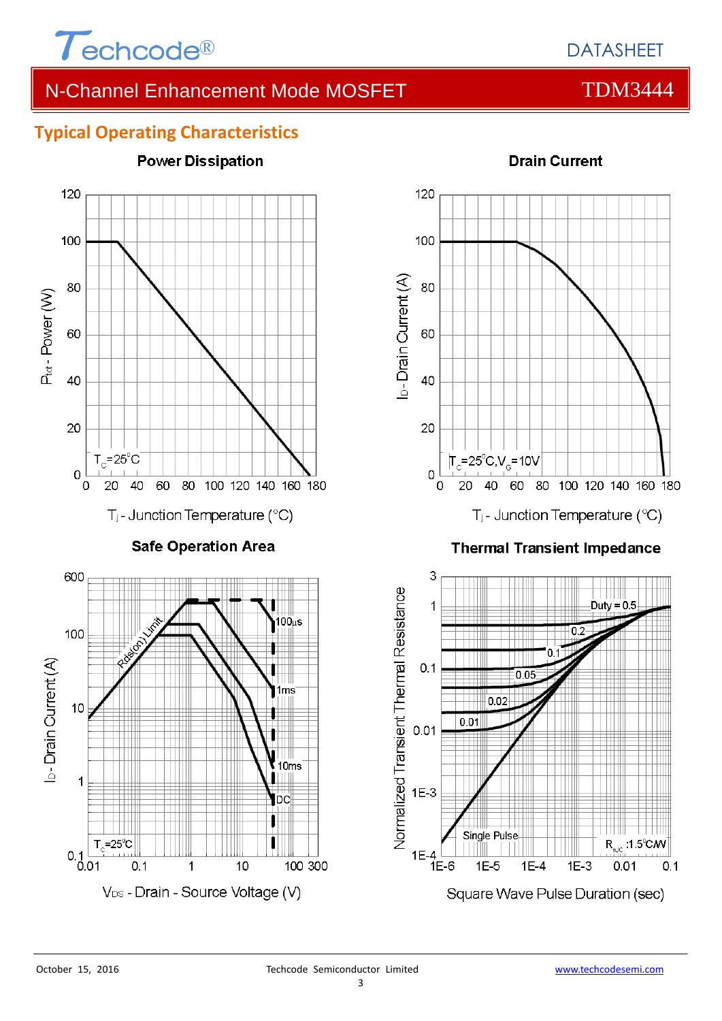

# **Typical Operating Characteristics**





#### **Thermal Transient Impedance**

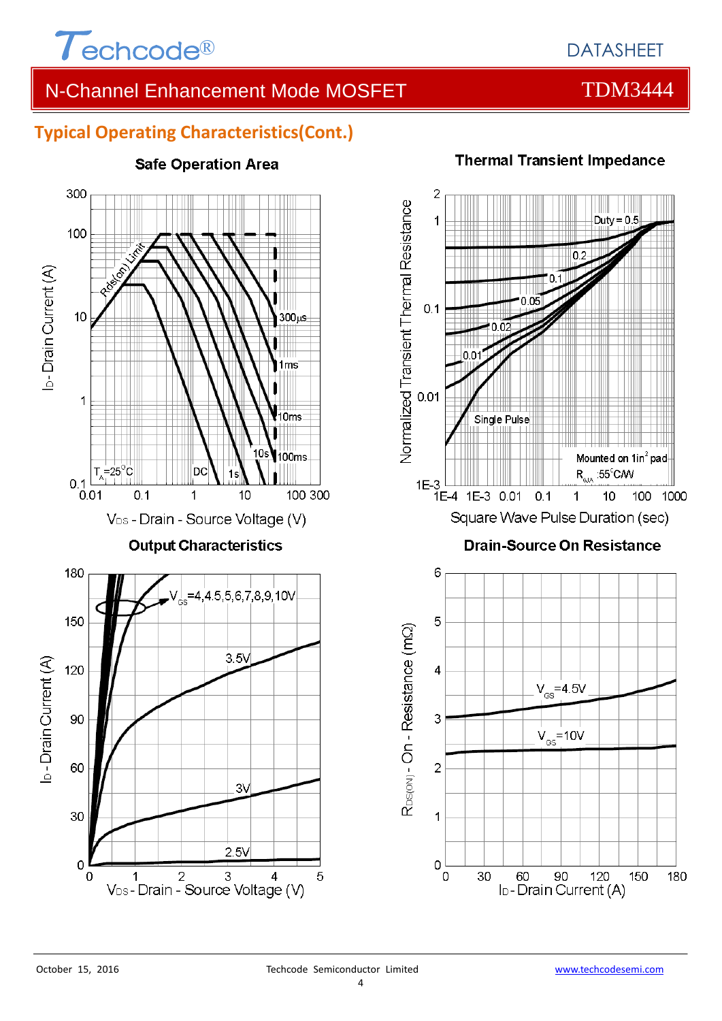

## **Typical Operating Characteristics(Cont.)**



### **Safe Operation Area**

 $\overline{2}$ Normalized Transient Thermal Resistance Duty =  $0.5$ 1  $0.1$ 0.09  $0.1$ n n  $0.01$ **Single Pulse** Mounted on 1in<sup>2</sup> pad  $R_{\text{eJA}}$  :55<sup>c</sup>CAV

Square Wave Pulse Duration (sec)

 $0.1$ 

### **Drain-Source On Resistance**

 $\mathbf{1}$ 

 $10$ 

100 1000



# **Thermal Transient Impedance**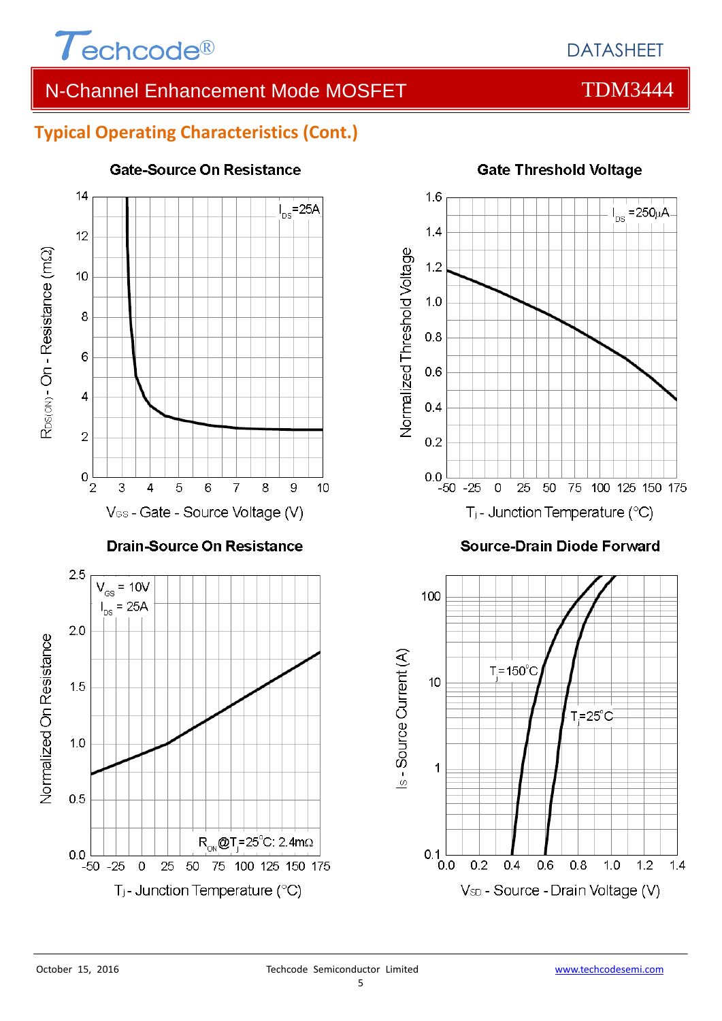

# **Typical Operating Characteristics (Cont.)**



#### **Gate-Source On Resistance**



#### **Source-Drain Diode Forward**

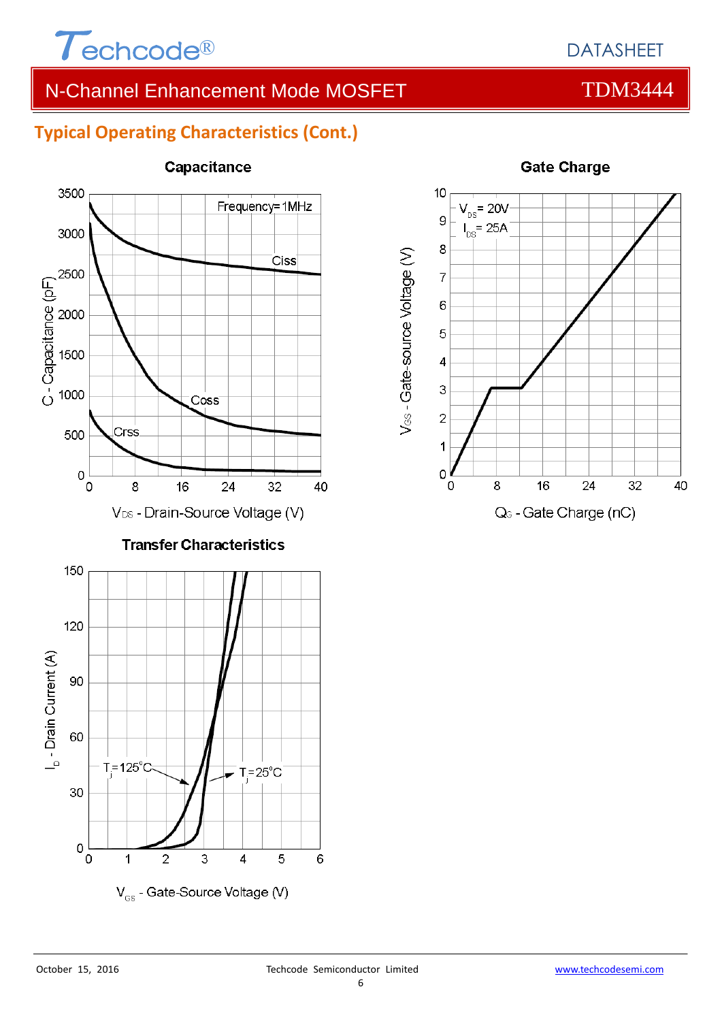

# **Typical Operating Characteristics (Cont.)**



#### **Capacitance**



#### **Gate Charge**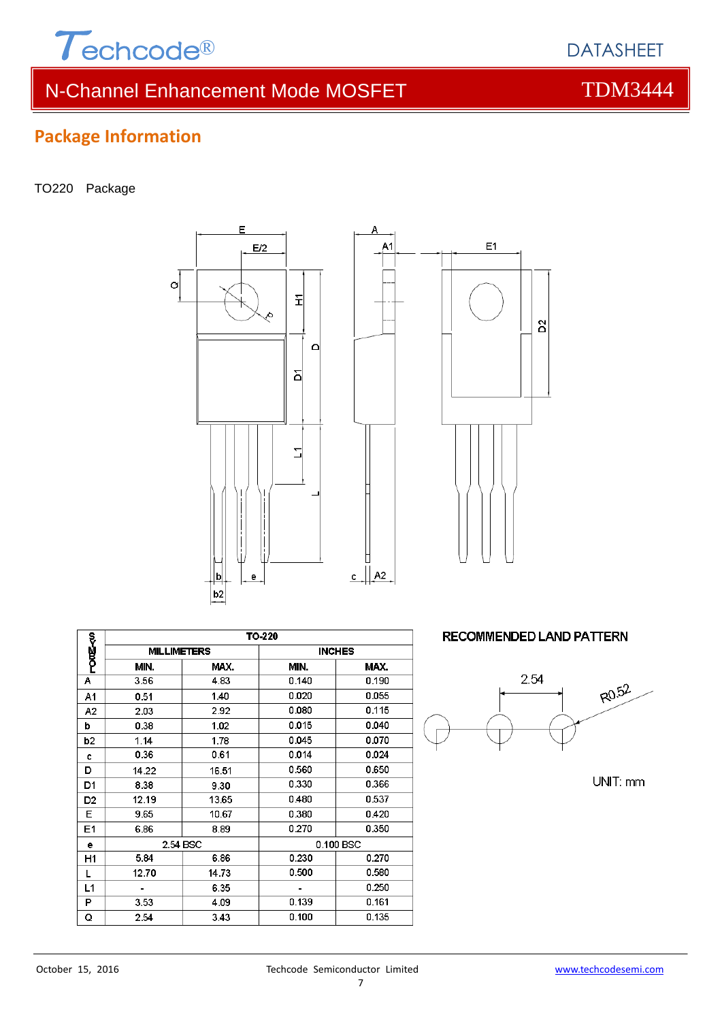

# **Package Information**

#### TO220 Package





Δ

|                | TO-220             |       |               |       |  |  |
|----------------|--------------------|-------|---------------|-------|--|--|
| <b>PODE-50</b> | <b>MILLIMETERS</b> |       | <b>INCHES</b> |       |  |  |
|                | MIN.               | MAX.  | MIN.          | MAX.  |  |  |
| А              | 3.56               | 4.83  | 0.140         | 0.190 |  |  |
| A1             | 0.51               | 1.40  | 0.020         | 0.055 |  |  |
| A <sub>2</sub> | 2.03               | 2.92  | 0.080         | 0.115 |  |  |
| b              | 0.38               | 1.02  | 0.015         | 0.040 |  |  |
| b2             | 1.14               | 1.78  | 0.045         | 0.070 |  |  |
| C              | 0.36               | 0.61  | 0.014         | 0.024 |  |  |
| D              | 14.22              | 16.51 | 0.560         | 0.650 |  |  |
| D1             | 8.38               | 9.30  | 0.330         | 0.366 |  |  |
| D <sub>2</sub> | 12.19              | 13.65 | 0.480         | 0.537 |  |  |
| Е              | 9.65               | 10.67 | 0.380         | 0.420 |  |  |
| E1             | 6.86               | 8.89  | 0.270         | 0.350 |  |  |
| е              | 2.54 BSC           |       | 0.100 BSC     |       |  |  |
| H1             | 5.84               | 6.86  | 0.230         | 0.270 |  |  |
| L              | 12.70              | 14.73 | 0.500         | 0.580 |  |  |
| L1             |                    | 6.35  |               | 0.250 |  |  |
| P              | 3.53               | 4.09  | 0.139         | 0.161 |  |  |
| Q              | 2.54               | 3.43  | 0.100         | 0.135 |  |  |

**RECOMMENDED LAND PATTERN** 



UNIT: mm



DATASHEET